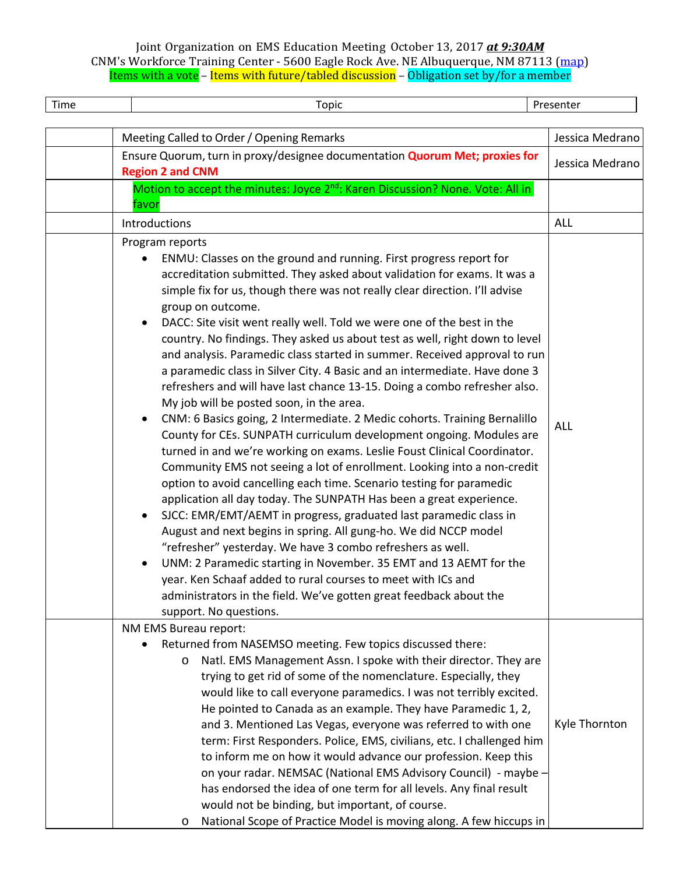| Time | Topic                                                                                                                                                                                                                                                                                                                                                                                                                                                                                                                                                                                                                                                                                                                                                                                                                                                                                                                                                                                                                                                                                                                                                                                                                                                                                                                                                                                                                                                                                                                                                                                                                                                                       | Presenter       |
|------|-----------------------------------------------------------------------------------------------------------------------------------------------------------------------------------------------------------------------------------------------------------------------------------------------------------------------------------------------------------------------------------------------------------------------------------------------------------------------------------------------------------------------------------------------------------------------------------------------------------------------------------------------------------------------------------------------------------------------------------------------------------------------------------------------------------------------------------------------------------------------------------------------------------------------------------------------------------------------------------------------------------------------------------------------------------------------------------------------------------------------------------------------------------------------------------------------------------------------------------------------------------------------------------------------------------------------------------------------------------------------------------------------------------------------------------------------------------------------------------------------------------------------------------------------------------------------------------------------------------------------------------------------------------------------------|-----------------|
|      | Meeting Called to Order / Opening Remarks                                                                                                                                                                                                                                                                                                                                                                                                                                                                                                                                                                                                                                                                                                                                                                                                                                                                                                                                                                                                                                                                                                                                                                                                                                                                                                                                                                                                                                                                                                                                                                                                                                   | Jessica Medrano |
|      | Ensure Quorum, turn in proxy/designee documentation <b>Quorum Met; proxies for</b><br><b>Region 2 and CNM</b>                                                                                                                                                                                                                                                                                                                                                                                                                                                                                                                                                                                                                                                                                                                                                                                                                                                                                                                                                                                                                                                                                                                                                                                                                                                                                                                                                                                                                                                                                                                                                               | Jessica Medrano |
|      | Motion to accept the minutes: Joyce 2 <sup>nd</sup> : Karen Discussion? None. Vote: All in<br>favor                                                                                                                                                                                                                                                                                                                                                                                                                                                                                                                                                                                                                                                                                                                                                                                                                                                                                                                                                                                                                                                                                                                                                                                                                                                                                                                                                                                                                                                                                                                                                                         |                 |
|      | Introductions                                                                                                                                                                                                                                                                                                                                                                                                                                                                                                                                                                                                                                                                                                                                                                                                                                                                                                                                                                                                                                                                                                                                                                                                                                                                                                                                                                                                                                                                                                                                                                                                                                                               | ALL             |
|      | Program reports<br>ENMU: Classes on the ground and running. First progress report for<br>accreditation submitted. They asked about validation for exams. It was a<br>simple fix for us, though there was not really clear direction. I'll advise<br>group on outcome.<br>DACC: Site visit went really well. Told we were one of the best in the<br>$\bullet$<br>country. No findings. They asked us about test as well, right down to level<br>and analysis. Paramedic class started in summer. Received approval to run<br>a paramedic class in Silver City. 4 Basic and an intermediate. Have done 3<br>refreshers and will have last chance 13-15. Doing a combo refresher also.<br>My job will be posted soon, in the area.<br>CNM: 6 Basics going, 2 Intermediate. 2 Medic cohorts. Training Bernalillo<br>County for CEs. SUNPATH curriculum development ongoing. Modules are<br>turned in and we're working on exams. Leslie Foust Clinical Coordinator.<br>Community EMS not seeing a lot of enrollment. Looking into a non-credit<br>option to avoid cancelling each time. Scenario testing for paramedic<br>application all day today. The SUNPATH Has been a great experience.<br>SJCC: EMR/EMT/AEMT in progress, graduated last paramedic class in<br>$\bullet$<br>August and next begins in spring. All gung-ho. We did NCCP model<br>"refresher" yesterday. We have 3 combo refreshers as well.<br>UNM: 2 Paramedic starting in November. 35 EMT and 13 AEMT for the<br>year. Ken Schaaf added to rural courses to meet with ICs and<br>administrators in the field. We've gotten great feedback about the<br>support. No questions.<br>NM EMS Bureau report: | <b>ALL</b>      |
|      | Returned from NASEMSO meeting. Few topics discussed there:<br>Natl. EMS Management Assn. I spoke with their director. They are<br>$\circ$<br>trying to get rid of some of the nomenclature. Especially, they<br>would like to call everyone paramedics. I was not terribly excited.<br>He pointed to Canada as an example. They have Paramedic 1, 2,<br>and 3. Mentioned Las Vegas, everyone was referred to with one<br>term: First Responders. Police, EMS, civilians, etc. I challenged him<br>to inform me on how it would advance our profession. Keep this<br>on your radar. NEMSAC (National EMS Advisory Council) - maybe -<br>has endorsed the idea of one term for all levels. Any final result<br>would not be binding, but important, of course.<br>National Scope of Practice Model is moving along. A few hiccups in<br>O                                                                                                                                                                                                                                                                                                                                                                                                                                                                                                                                                                                                                                                                                                                                                                                                                                     | Kyle Thornton   |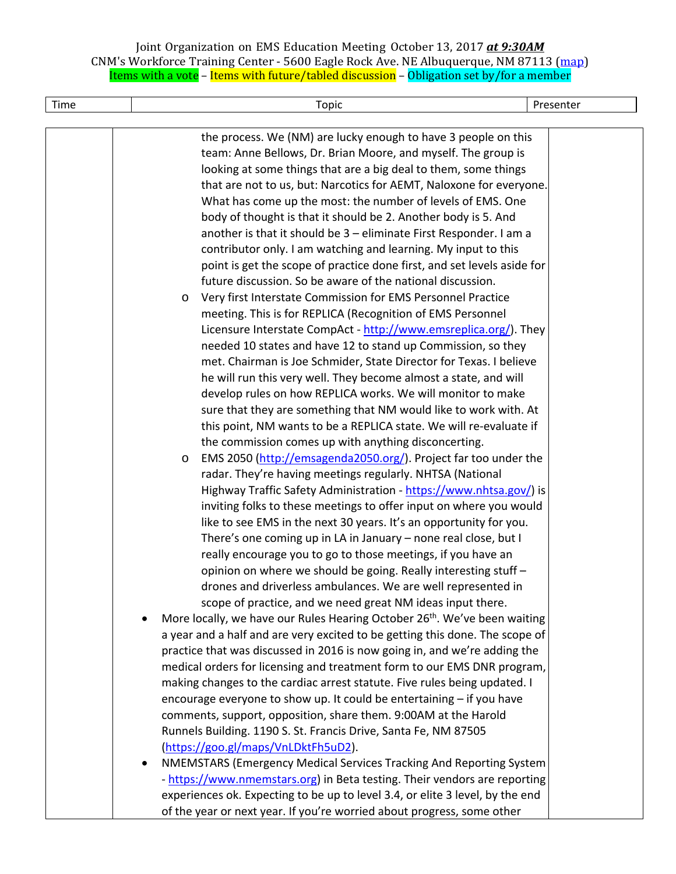| Time | Topic                                                                                                                           | Presenter |
|------|---------------------------------------------------------------------------------------------------------------------------------|-----------|
|      |                                                                                                                                 |           |
|      | the process. We (NM) are lucky enough to have 3 people on this                                                                  |           |
|      | team: Anne Bellows, Dr. Brian Moore, and myself. The group is                                                                   |           |
|      | looking at some things that are a big deal to them, some things                                                                 |           |
|      | that are not to us, but: Narcotics for AEMT, Naloxone for everyone.                                                             |           |
|      | What has come up the most: the number of levels of EMS. One                                                                     |           |
|      | body of thought is that it should be 2. Another body is 5. And                                                                  |           |
|      | another is that it should be 3 - eliminate First Responder. I am a                                                              |           |
|      | contributor only. I am watching and learning. My input to this                                                                  |           |
|      | point is get the scope of practice done first, and set levels aside for                                                         |           |
|      | future discussion. So be aware of the national discussion.                                                                      |           |
|      | Very first Interstate Commission for EMS Personnel Practice<br>$\circ$                                                          |           |
|      | meeting. This is for REPLICA (Recognition of EMS Personnel                                                                      |           |
|      | Licensure Interstate CompAct - http://www.emsreplica.org/). They                                                                |           |
|      | needed 10 states and have 12 to stand up Commission, so they                                                                    |           |
|      | met. Chairman is Joe Schmider, State Director for Texas. I believe                                                              |           |
|      | he will run this very well. They become almost a state, and will                                                                |           |
|      | develop rules on how REPLICA works. We will monitor to make                                                                     |           |
|      | sure that they are something that NM would like to work with. At                                                                |           |
|      | this point, NM wants to be a REPLICA state. We will re-evaluate if                                                              |           |
|      | the commission comes up with anything disconcerting.                                                                            |           |
|      | EMS 2050 (http://emsagenda2050.org/). Project far too under the<br>$\circ$                                                      |           |
|      | radar. They're having meetings regularly. NHTSA (National<br>Highway Traffic Safety Administration - https://www.nhtsa.gov/) is |           |
|      | inviting folks to these meetings to offer input on where you would                                                              |           |
|      | like to see EMS in the next 30 years. It's an opportunity for you.                                                              |           |
|      | There's one coming up in LA in January - none real close, but I                                                                 |           |
|      | really encourage you to go to those meetings, if you have an                                                                    |           |
|      | opinion on where we should be going. Really interesting stuff -                                                                 |           |
|      | drones and driverless ambulances. We are well represented in                                                                    |           |
|      | scope of practice, and we need great NM ideas input there.                                                                      |           |
|      | More locally, we have our Rules Hearing October 26 <sup>th</sup> . We've been waiting                                           |           |
|      | a year and a half and are very excited to be getting this done. The scope of                                                    |           |
|      | practice that was discussed in 2016 is now going in, and we're adding the                                                       |           |
|      | medical orders for licensing and treatment form to our EMS DNR program,                                                         |           |
|      | making changes to the cardiac arrest statute. Five rules being updated. I                                                       |           |
|      | encourage everyone to show up. It could be entertaining - if you have                                                           |           |
|      | comments, support, opposition, share them. 9:00AM at the Harold                                                                 |           |
|      | Runnels Building. 1190 S. St. Francis Drive, Santa Fe, NM 87505                                                                 |           |
|      | (https://goo.gl/maps/VnLDktFh5uD2).                                                                                             |           |
|      | NMEMSTARS (Emergency Medical Services Tracking And Reporting System<br>$\bullet$                                                |           |
|      | - https://www.nmemstars.org) in Beta testing. Their vendors are reporting                                                       |           |
|      | experiences ok. Expecting to be up to level 3.4, or elite 3 level, by the end                                                   |           |
|      | of the year or next year. If you're worried about progress, some other                                                          |           |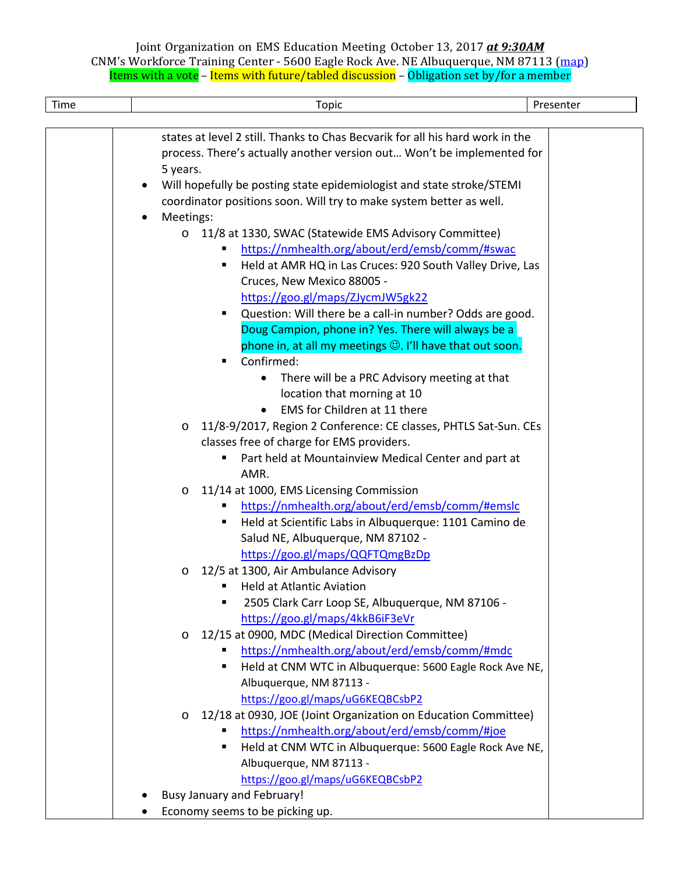| Time | Topic                                                                         | Presenter |  |
|------|-------------------------------------------------------------------------------|-----------|--|
|      |                                                                               |           |  |
|      | states at level 2 still. Thanks to Chas Becvarik for all his hard work in the |           |  |
|      | process. There's actually another version out Won't be implemented for        |           |  |
|      | 5 years.                                                                      |           |  |
|      | Will hopefully be posting state epidemiologist and state stroke/STEMI         |           |  |
|      | coordinator positions soon. Will try to make system better as well.           |           |  |
|      | Meetings:                                                                     |           |  |
|      | 11/8 at 1330, SWAC (Statewide EMS Advisory Committee)<br>$\circ$              |           |  |
|      | https://nmhealth.org/about/erd/emsb/comm/#swac                                |           |  |
|      | Held at AMR HQ in Las Cruces: 920 South Valley Drive, Las<br>٠                |           |  |
|      | Cruces, New Mexico 88005 -                                                    |           |  |
|      | https://goo.gl/maps/ZJycmJW5gk22                                              |           |  |
|      | Question: Will there be a call-in number? Odds are good.<br>٠                 |           |  |
|      | Doug Campion, phone in? Yes. There will always be a                           |           |  |
|      | phone in, at all my meetings $\odot$ . I'll have that out soon.               |           |  |
|      | Confirmed:<br>٠                                                               |           |  |
|      | There will be a PRC Advisory meeting at that<br>$\bullet$                     |           |  |
|      | location that morning at 10                                                   |           |  |
|      | EMS for Children at 11 there                                                  |           |  |
|      | 11/8-9/2017, Region 2 Conference: CE classes, PHTLS Sat-Sun. CEs<br>$\circ$   |           |  |
|      | classes free of charge for EMS providers.                                     |           |  |
|      | Part held at Mountainview Medical Center and part at<br>٠                     |           |  |
|      | AMR.                                                                          |           |  |
|      | 11/14 at 1000, EMS Licensing Commission<br>$\circ$                            |           |  |
|      | https://nmhealth.org/about/erd/emsb/comm/#emslc<br>٠                          |           |  |
|      | Held at Scientific Labs in Albuquerque: 1101 Camino de<br>٠                   |           |  |
|      | Salud NE, Albuquerque, NM 87102 -                                             |           |  |
|      | https://goo.gl/maps/QQFTQmgBzDp                                               |           |  |
|      | 12/5 at 1300, Air Ambulance Advisory<br>O<br><b>Held at Atlantic Aviation</b> |           |  |
|      | 2505 Clark Carr Loop SE, Albuquerque, NM 87106 -                              |           |  |
|      | https://goo.gl/maps/4kkB6iF3eVr                                               |           |  |
|      | 12/15 at 0900, MDC (Medical Direction Committee)<br>$\circ$                   |           |  |
|      | https://nmhealth.org/about/erd/emsb/comm/#mdc                                 |           |  |
|      | Held at CNM WTC in Albuquerque: 5600 Eagle Rock Ave NE,<br>٠                  |           |  |
|      | Albuquerque, NM 87113 -                                                       |           |  |
|      | https://goo.gl/maps/uG6KEQBCsbP2                                              |           |  |
|      | 12/18 at 0930, JOE (Joint Organization on Education Committee)<br>O           |           |  |
|      | https://nmhealth.org/about/erd/emsb/comm/#joe                                 |           |  |
|      | Held at CNM WTC in Albuquerque: 5600 Eagle Rock Ave NE,                       |           |  |
|      | Albuquerque, NM 87113 -                                                       |           |  |
|      | https://goo.gl/maps/uG6KEQBCsbP2                                              |           |  |
|      | <b>Busy January and February!</b>                                             |           |  |
|      | Economy seems to be picking up.                                               |           |  |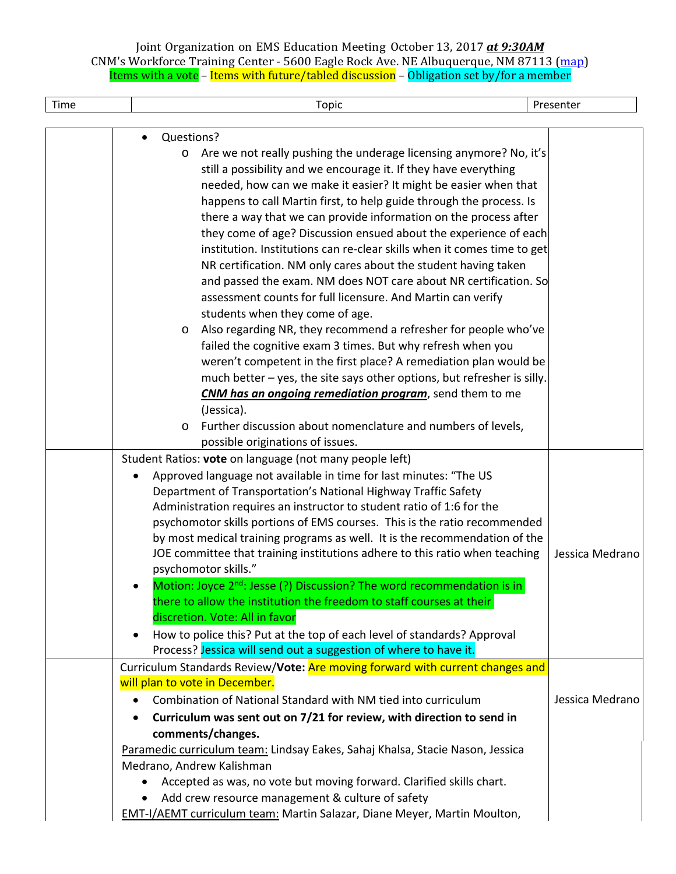| Time | Topic                                                                                                                                                                                                                                                                                                                                                                                                                                                                                                                                                                                                                                                                                                                                                                                                                                                                                                                                                                                                                                                                                                                                             | Presenter       |
|------|---------------------------------------------------------------------------------------------------------------------------------------------------------------------------------------------------------------------------------------------------------------------------------------------------------------------------------------------------------------------------------------------------------------------------------------------------------------------------------------------------------------------------------------------------------------------------------------------------------------------------------------------------------------------------------------------------------------------------------------------------------------------------------------------------------------------------------------------------------------------------------------------------------------------------------------------------------------------------------------------------------------------------------------------------------------------------------------------------------------------------------------------------|-----------------|
|      |                                                                                                                                                                                                                                                                                                                                                                                                                                                                                                                                                                                                                                                                                                                                                                                                                                                                                                                                                                                                                                                                                                                                                   |                 |
|      | Questions?<br>$\bullet$<br>Are we not really pushing the underage licensing anymore? No, it's<br>$\circ$<br>still a possibility and we encourage it. If they have everything<br>needed, how can we make it easier? It might be easier when that<br>happens to call Martin first, to help guide through the process. Is<br>there a way that we can provide information on the process after<br>they come of age? Discussion ensued about the experience of each<br>institution. Institutions can re-clear skills when it comes time to get<br>NR certification. NM only cares about the student having taken<br>and passed the exam. NM does NOT care about NR certification. So<br>assessment counts for full licensure. And Martin can verify<br>students when they come of age.<br>Also regarding NR, they recommend a refresher for people who've<br>$\circ$<br>failed the cognitive exam 3 times. But why refresh when you<br>weren't competent in the first place? A remediation plan would be<br>much better - yes, the site says other options, but refresher is silly.<br><b>CNM has an ongoing remediation program</b> , send them to me |                 |
|      | (Jessica).<br>Further discussion about nomenclature and numbers of levels,<br>$\circ$                                                                                                                                                                                                                                                                                                                                                                                                                                                                                                                                                                                                                                                                                                                                                                                                                                                                                                                                                                                                                                                             |                 |
|      | possible originations of issues.<br>Student Ratios: vote on language (not many people left)                                                                                                                                                                                                                                                                                                                                                                                                                                                                                                                                                                                                                                                                                                                                                                                                                                                                                                                                                                                                                                                       |                 |
|      | Approved language not available in time for last minutes: "The US<br>Department of Transportation's National Highway Traffic Safety<br>Administration requires an instructor to student ratio of 1:6 for the<br>psychomotor skills portions of EMS courses. This is the ratio recommended<br>by most medical training programs as well. It is the recommendation of the<br>JOE committee that training institutions adhere to this ratio when teaching<br>psychomotor skills."<br>Motion: Joyce 2 <sup>nd</sup> : Jesse (?) Discussion? The word recommendation is in<br>there to allow the institution the freedom to staff courses at their<br>discretion. Vote: All in favor<br>How to police this? Put at the top of each level of standards? Approval<br>$\bullet$<br>Process? Jessica will send out a suggestion of where to have it.                                                                                                                                                                                                                                                                                                       | Jessica Medrano |
|      | Curriculum Standards Review/Vote: Are moving forward with current changes and                                                                                                                                                                                                                                                                                                                                                                                                                                                                                                                                                                                                                                                                                                                                                                                                                                                                                                                                                                                                                                                                     |                 |
|      | will plan to vote in December.<br>Combination of National Standard with NM tied into curriculum<br>Curriculum was sent out on 7/21 for review, with direction to send in<br>$\bullet$<br>comments/changes.<br>Paramedic curriculum team: Lindsay Eakes, Sahaj Khalsa, Stacie Nason, Jessica                                                                                                                                                                                                                                                                                                                                                                                                                                                                                                                                                                                                                                                                                                                                                                                                                                                       | Jessica Medrano |
|      | Medrano, Andrew Kalishman<br>Accepted as was, no vote but moving forward. Clarified skills chart.<br>Add crew resource management & culture of safety<br>$\bullet$<br><b>EMT-I/AEMT curriculum team: Martin Salazar, Diane Meyer, Martin Moulton,</b>                                                                                                                                                                                                                                                                                                                                                                                                                                                                                                                                                                                                                                                                                                                                                                                                                                                                                             |                 |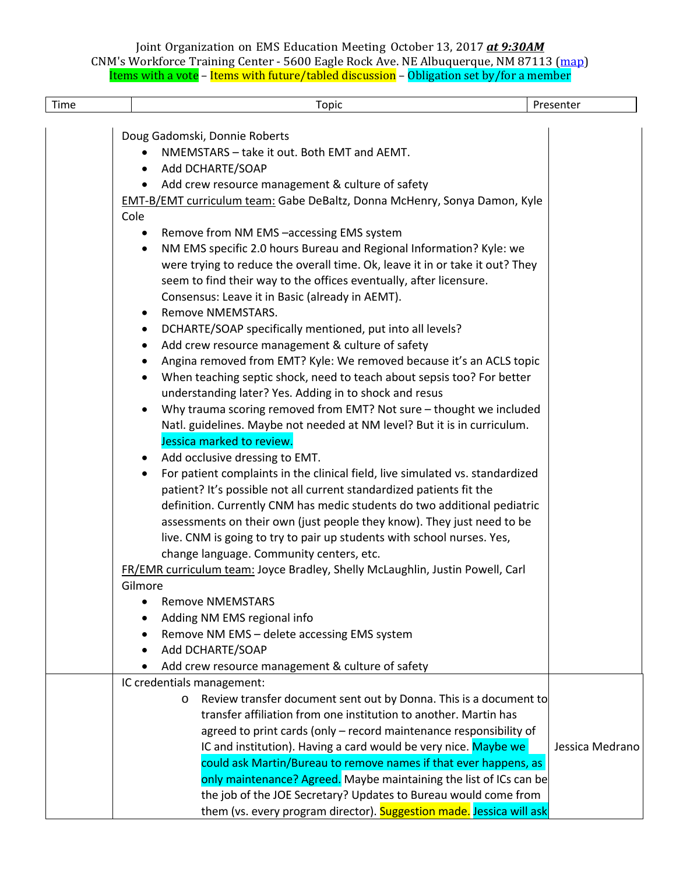| Time | Topic                                                                                                                                                                                                                                                                                                                                                                                                                                                                                                                                                                                                                                                                                                                                                                                                                                                                                                                                                                                                                                                                                                                                                                                                                                                                                                                                                                                                                                                                                                                                                                                                                                                                                                                                                                                                                                                                                                                  | Presenter       |
|------|------------------------------------------------------------------------------------------------------------------------------------------------------------------------------------------------------------------------------------------------------------------------------------------------------------------------------------------------------------------------------------------------------------------------------------------------------------------------------------------------------------------------------------------------------------------------------------------------------------------------------------------------------------------------------------------------------------------------------------------------------------------------------------------------------------------------------------------------------------------------------------------------------------------------------------------------------------------------------------------------------------------------------------------------------------------------------------------------------------------------------------------------------------------------------------------------------------------------------------------------------------------------------------------------------------------------------------------------------------------------------------------------------------------------------------------------------------------------------------------------------------------------------------------------------------------------------------------------------------------------------------------------------------------------------------------------------------------------------------------------------------------------------------------------------------------------------------------------------------------------------------------------------------------------|-----------------|
|      | Doug Gadomski, Donnie Roberts<br>NMEMSTARS - take it out. Both EMT and AEMT.<br>Add DCHARTE/SOAP<br>Add crew resource management & culture of safety<br><b>EMT-B/EMT curriculum team:</b> Gabe DeBaltz, Donna McHenry, Sonya Damon, Kyle<br>Cole<br>Remove from NM EMS -accessing EMS system<br>NM EMS specific 2.0 hours Bureau and Regional Information? Kyle: we<br>$\bullet$<br>were trying to reduce the overall time. Ok, leave it in or take it out? They<br>seem to find their way to the offices eventually, after licensure.<br>Consensus: Leave it in Basic (already in AEMT).<br>Remove NMEMSTARS.<br>DCHARTE/SOAP specifically mentioned, put into all levels?<br>Add crew resource management & culture of safety<br>$\bullet$<br>Angina removed from EMT? Kyle: We removed because it's an ACLS topic<br>When teaching septic shock, need to teach about sepsis too? For better<br>understanding later? Yes. Adding in to shock and resus<br>Why trauma scoring removed from EMT? Not sure - thought we included<br>Natl. guidelines. Maybe not needed at NM level? But it is in curriculum.<br>Jessica marked to review.<br>Add occlusive dressing to EMT.<br>$\bullet$<br>For patient complaints in the clinical field, live simulated vs. standardized<br>$\bullet$<br>patient? It's possible not all current standardized patients fit the<br>definition. Currently CNM has medic students do two additional pediatric<br>assessments on their own (just people they know). They just need to be<br>live. CNM is going to try to pair up students with school nurses. Yes,<br>change language. Community centers, etc.<br>FR/EMR curriculum team: Joyce Bradley, Shelly McLaughlin, Justin Powell, Carl<br>Gilmore<br><b>Remove NMEMSTARS</b><br>Adding NM EMS regional info<br>Remove NM EMS - delete accessing EMS system<br>Add DCHARTE/SOAP<br>Add crew resource management & culture of safety |                 |
|      | IC credentials management:<br>Review transfer document sent out by Donna. This is a document to<br>$\circ$<br>transfer affiliation from one institution to another. Martin has<br>agreed to print cards (only - record maintenance responsibility of<br>IC and institution). Having a card would be very nice. Maybe we<br>could ask Martin/Bureau to remove names if that ever happens, as<br>only maintenance? Agreed. Maybe maintaining the list of ICs can be<br>the job of the JOE Secretary? Updates to Bureau would come from<br>them (vs. every program director). Suggestion made. Jessica will ask                                                                                                                                                                                                                                                                                                                                                                                                                                                                                                                                                                                                                                                                                                                                                                                                                                                                                                                                                                                                                                                                                                                                                                                                                                                                                                           | Jessica Medrano |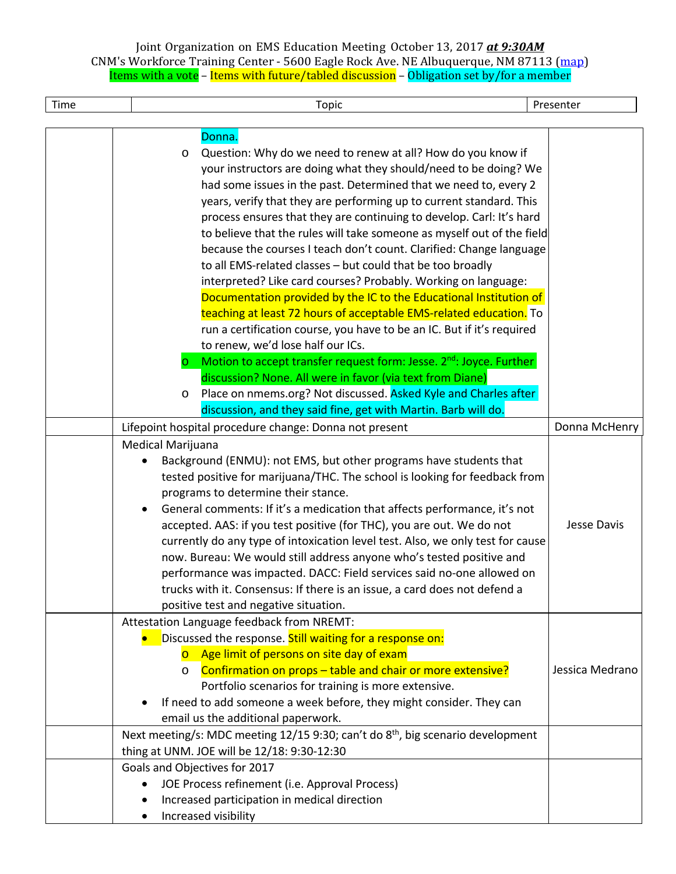| Time | Topic                                                                                                                                                                                                                                                                                                                                                                                                                                                                                                                                                                                                                                                                                                                                                                                                                                                                                                                                                                                                                                                                           | Presenter       |
|------|---------------------------------------------------------------------------------------------------------------------------------------------------------------------------------------------------------------------------------------------------------------------------------------------------------------------------------------------------------------------------------------------------------------------------------------------------------------------------------------------------------------------------------------------------------------------------------------------------------------------------------------------------------------------------------------------------------------------------------------------------------------------------------------------------------------------------------------------------------------------------------------------------------------------------------------------------------------------------------------------------------------------------------------------------------------------------------|-----------------|
|      |                                                                                                                                                                                                                                                                                                                                                                                                                                                                                                                                                                                                                                                                                                                                                                                                                                                                                                                                                                                                                                                                                 |                 |
|      | Donna.<br>Question: Why do we need to renew at all? How do you know if<br>$\circ$<br>your instructors are doing what they should/need to be doing? We<br>had some issues in the past. Determined that we need to, every 2<br>years, verify that they are performing up to current standard. This<br>process ensures that they are continuing to develop. Carl: It's hard<br>to believe that the rules will take someone as myself out of the field<br>because the courses I teach don't count. Clarified: Change language<br>to all EMS-related classes - but could that be too broadly<br>interpreted? Like card courses? Probably. Working on language:<br>Documentation provided by the IC to the Educational Institution of<br>teaching at least 72 hours of acceptable EMS-related education. To<br>run a certification course, you have to be an IC. But if it's required<br>to renew, we'd lose half our ICs.<br>Motion to accept transfer request form: Jesse. 2 <sup>nd</sup> : Joyce. Further<br>$\circ$<br>discussion? None. All were in favor (via text from Diane) |                 |
|      | Place on nmems.org? Not discussed. Asked Kyle and Charles after<br>$\circ$                                                                                                                                                                                                                                                                                                                                                                                                                                                                                                                                                                                                                                                                                                                                                                                                                                                                                                                                                                                                      |                 |
|      | discussion, and they said fine, get with Martin. Barb will do.                                                                                                                                                                                                                                                                                                                                                                                                                                                                                                                                                                                                                                                                                                                                                                                                                                                                                                                                                                                                                  |                 |
|      | Lifepoint hospital procedure change: Donna not present                                                                                                                                                                                                                                                                                                                                                                                                                                                                                                                                                                                                                                                                                                                                                                                                                                                                                                                                                                                                                          | Donna McHenry   |
|      | Medical Marijuana<br>Background (ENMU): not EMS, but other programs have students that<br>tested positive for marijuana/THC. The school is looking for feedback from<br>programs to determine their stance.<br>General comments: If it's a medication that affects performance, it's not<br>accepted. AAS: if you test positive (for THC), you are out. We do not<br>currently do any type of intoxication level test. Also, we only test for cause<br>now. Bureau: We would still address anyone who's tested positive and<br>performance was impacted. DACC: Field services said no-one allowed on<br>trucks with it. Consensus: If there is an issue, a card does not defend a<br>positive test and negative situation.                                                                                                                                                                                                                                                                                                                                                      | Jesse Davis     |
|      | Attestation Language feedback from NREMT:<br>Discussed the response. Still waiting for a response on:<br>Age limit of persons on site day of exam<br>$\overline{O}$<br>o Confirmation on props - table and chair or more extensive?<br>Portfolio scenarios for training is more extensive.<br>If need to add someone a week before, they might consider. They can<br>email us the additional paperwork.<br>Next meeting/s: MDC meeting 12/15 9:30; can't do 8 <sup>th</sup> , big scenario development                                                                                                                                                                                                                                                                                                                                                                                                                                                                                                                                                                          | Jessica Medrano |
|      | thing at UNM. JOE will be 12/18: 9:30-12:30                                                                                                                                                                                                                                                                                                                                                                                                                                                                                                                                                                                                                                                                                                                                                                                                                                                                                                                                                                                                                                     |                 |
|      | Goals and Objectives for 2017<br>JOE Process refinement (i.e. Approval Process)<br>Increased participation in medical direction<br>Increased visibility                                                                                                                                                                                                                                                                                                                                                                                                                                                                                                                                                                                                                                                                                                                                                                                                                                                                                                                         |                 |